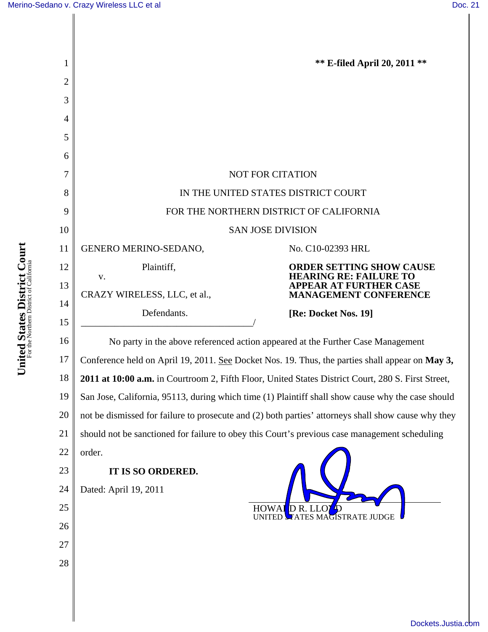